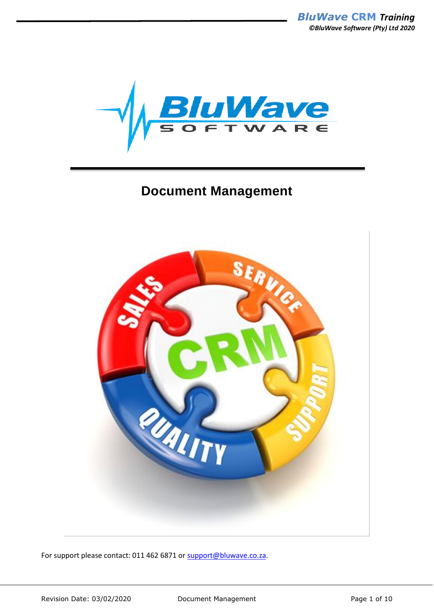

# **Document Management**



For support please contact: 011 462 6871 or [support@bluwave.co.za.](mailto:support@bluwave.co.za)

Revision Date: 03/02/2020 Document Management Page 1 of 10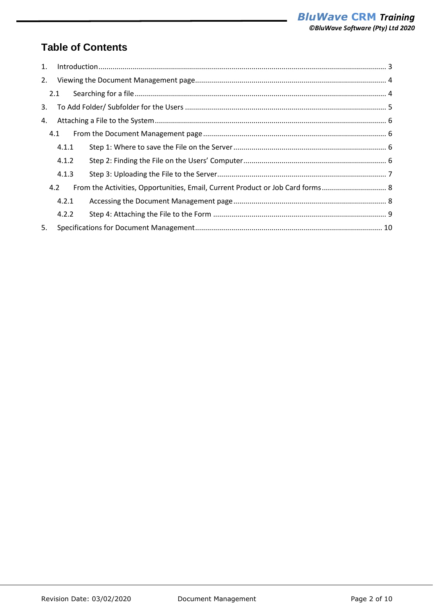# **Table of Contents**

| 1. |       |                                                                                |  |  |  |  |  |  |
|----|-------|--------------------------------------------------------------------------------|--|--|--|--|--|--|
| 2. |       |                                                                                |  |  |  |  |  |  |
|    | 2.1   |                                                                                |  |  |  |  |  |  |
| 3. |       |                                                                                |  |  |  |  |  |  |
| 4. |       |                                                                                |  |  |  |  |  |  |
|    | 4.1   |                                                                                |  |  |  |  |  |  |
|    | 4.1.1 |                                                                                |  |  |  |  |  |  |
|    | 4.1.2 |                                                                                |  |  |  |  |  |  |
|    | 4.1.3 |                                                                                |  |  |  |  |  |  |
|    | 4.2   | From the Activities, Opportunities, Email, Current Product or Job Card forms 8 |  |  |  |  |  |  |
|    | 4.2.1 |                                                                                |  |  |  |  |  |  |
|    | 4.2.2 |                                                                                |  |  |  |  |  |  |
| 5. |       |                                                                                |  |  |  |  |  |  |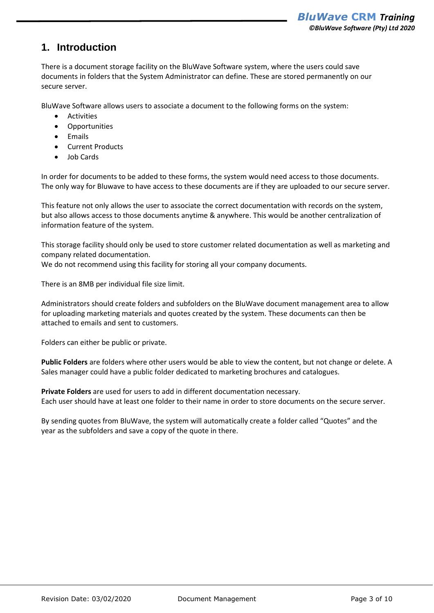## <span id="page-2-0"></span>**1. Introduction**

There is a document storage facility on the BluWave Software system, where the users could save documents in folders that the System Administrator can define. These are stored permanently on our secure server.

BluWave Software allows users to associate a document to the following forms on the system:

- Activities
- Opportunities
- Emails
- Current Products
- Job Cards

In order for documents to be added to these forms, the system would need access to those documents. The only way for Bluwave to have access to these documents are if they are uploaded to our secure server.

This feature not only allows the user to associate the correct documentation with records on the system, but also allows access to those documents anytime & anywhere. This would be another centralization of information feature of the system.

This storage facility should only be used to store customer related documentation as well as marketing and company related documentation.

We do not recommend using this facility for storing all your company documents.

There is an 8MB per individual file size limit.

Administrators should create folders and subfolders on the BluWave document management area to allow for uploading marketing materials and quotes created by the system. These documents can then be attached to emails and sent to customers.

Folders can either be public or private.

**Public Folders** are folders where other users would be able to view the content, but not change or delete. A Sales manager could have a public folder dedicated to marketing brochures and catalogues.

**Private Folders** are used for users to add in different documentation necessary. Each user should have at least one folder to their name in order to store documents on the secure server.

By sending quotes from BluWave, the system will automatically create a folder called "Quotes" and the year as the subfolders and save a copy of the quote in there.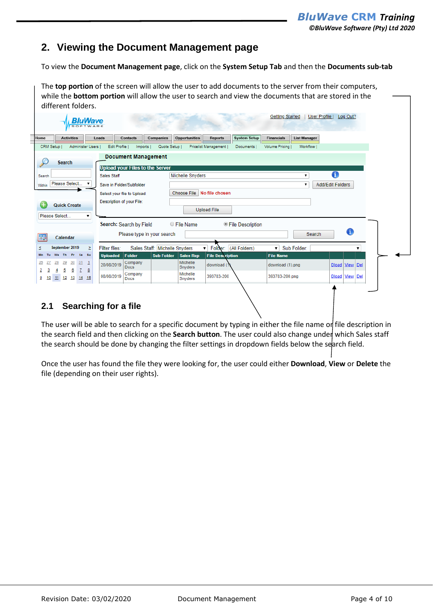### <span id="page-3-0"></span>**2. Viewing the Document Management page**

To view the **Document Management page**, click on the **System Setup Tab** and then the **Documents sub-tab**

The **top portion** of the screen will allow the user to add documents to the server from their computers, while the **bottom portion** will allow the user to search and view the documents that are stored in the different folders.

|                          | <b>Activities</b>          |   | Leads                       | <b>Contacts</b> | Companies                              | <b>Opportunities</b>       | <b>Reports</b>          | <b>System Setup</b> | <b>Financials</b> | <b>List Manager</b> |                         |          |   |
|--------------------------|----------------------------|---|-----------------------------|-----------------|----------------------------------------|----------------------------|-------------------------|---------------------|-------------------|---------------------|-------------------------|----------|---|
| CRM Setup                | Administer Users           |   | Edit Profile                | <b>Imports</b>  | Quote Setup                            |                            | Pricelist Management    | Documents           | Volume Pricing    | Workflow I          |                         |          |   |
|                          |                            |   |                             |                 | <b>Document Management</b>             |                            |                         |                     |                   |                     |                         |          |   |
|                          | <b>Search</b>              |   |                             |                 | <b>Upload your Files to the Server</b> |                            |                         |                     |                   |                     |                         |          |   |
| Search                   |                            |   | <b>Sales Staff</b>          |                 |                                        | Michelle Snyders           |                         |                     |                   | ۷.                  | 0                       |          |   |
| Within                   | Please Select              |   | Save in Folder/Subfolder    |                 |                                        |                            |                         |                     |                   |                     | <b>Add/Edit Folders</b> |          |   |
|                          |                            |   | Select your file to Upload: |                 |                                        | Choose File No file chosen |                         |                     |                   |                     |                         |          |   |
|                          | <b>Quick Create</b>        |   | Description of your File:   |                 |                                        |                            |                         |                     |                   |                     |                         |          |   |
|                          |                            |   |                             |                 |                                        |                            | <b>Upload File</b>      |                     |                   |                     |                         |          |   |
|                          | Please Select              | ▼ |                             |                 |                                        |                            |                         |                     |                   |                     |                         |          |   |
|                          |                            |   | Search: Search by Field     |                 |                                        | ○ File Name                |                         | ● File Description  |                   |                     |                         |          |   |
| 亚                        | Calendar                   |   |                             |                 | Please type in your search             |                            |                         |                     |                   | Search              |                         | O        |   |
| ≤                        | September 2019             | Σ | Filter files:               |                 | Sales Staff: Michelle Snyders          |                            | V Folder: (All Folders) |                     | ۷.                | Sub Folder:         |                         |          | ▼ |
|                          | Fr.<br>Th.<br>Sa Su        |   | <b>Uploaded</b>             | Folder          | <b>Sub Folder</b>                      | <b>Sales Rep</b>           | <b>File Description</b> |                     | <b>File Name</b>  |                     |                         |          |   |
| 27                       | 29<br>30<br>$31 - 1$<br>28 |   | 20/08/2019                  | Company         |                                        | Michelle                   | download (1)            |                     | download (1).png  |                     | Dload View Del          |          |   |
|                          | 5<br>₫<br>7<br>4           | 8 |                             | Docs<br>Company |                                        | Snyders<br>Michelle        |                         |                     |                   |                     |                         |          |   |
| $\frac{26}{2}$<br>з<br>2 |                            |   | 08/08/2019                  | Docs            |                                        | Snyders                    | 393783-200              |                     | 393783-200.png    |                     | <b>Dload</b>            | View Del |   |
| 10<br>₿                  | 11 12 13 14 15             |   |                             |                 |                                        |                            |                         |                     |                   |                     |                         |          |   |

<span id="page-3-1"></span>The user will be able to search for a specific document by typing in either the file name or file description in the search field and then clicking on the **Search button**. The user could also change under which Sales staff the search should be done by changing the filter settings in dropdown fields below the search field.

Once the user has found the file they were looking for, the user could either **Download**, **View** or **Delete** the file (depending on their user rights).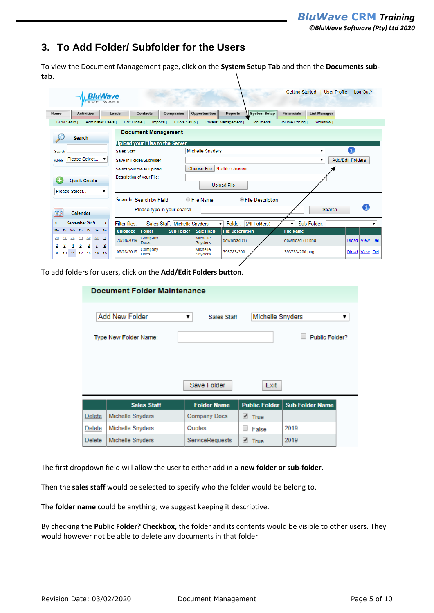## <span id="page-4-0"></span>**3. To Add Folder/ Subfolder for the Users**

To view the Document Management page, click on the **System Setup Tab** and then the **Documents subtab**.

| <b>SOFTWARE</b>                                                 | <b>BluWave</b>            |                                        |                               |                         |                         |                     | <b>Getting Started</b> |                     | User Profile  <br>Log Out?  |
|-----------------------------------------------------------------|---------------------------|----------------------------------------|-------------------------------|-------------------------|-------------------------|---------------------|------------------------|---------------------|-----------------------------|
| Home<br><b>Activities</b>                                       | Leads                     | Contacts                               | <b>Companies</b>              | <b>Opportunities</b>    | <b>Reports</b>          | <b>System Setup</b> | <b>Financials</b>      | <b>List Manager</b> |                             |
| CRM Setup I<br>Administer Users                                 |                           | Edit Profile I<br><b>Imports</b>       | Quote Setup I                 |                         | Pricelist Management    | <b>Documents</b>    | Volume Pricing         | Workflow I          |                             |
| <b>Search</b>                                                   |                           | <b>Document Management</b>             |                               |                         |                         |                     |                        |                     |                             |
|                                                                 |                           | <b>Upload your Files to the Server</b> |                               |                         |                         |                     |                        |                     | Л                           |
| Search                                                          | <b>Sales Staff</b>        |                                        |                               | <b>Michelle Snyders</b> |                         |                     |                        |                     |                             |
| Please Select<br>Within                                         | ▼                         | Save in Folder/Subfolder               |                               |                         |                         |                     |                        | ▼                   | <b>Add/Edit Folders</b>     |
|                                                                 |                           | Select your file to Upload:            |                               | Choose File             | No file chosen          |                     |                        |                     |                             |
| <b>Quick Create</b><br>Please Select                            | ▼                         | Description of your File:              |                               |                         | <b>Upload File</b>      |                     |                        |                     |                             |
|                                                                 |                           | Search: Search by Field                |                               | ○ File Name             |                         | ● File Description  |                        |                     |                             |
| Calendar                                                        |                           |                                        | Please type in your search    |                         |                         |                     |                        | Search              | 61                          |
| ś<br>September 2019                                             | Σ<br><b>Filter files:</b> |                                        | Sales Staff: Michelle Snyders |                         | Folder:<br>۷.           | (All Folders)       | $\blacksquare$         | Sub Folder:         |                             |
| Th Fr Sa Su<br><b>We</b><br>Mo<br>Тu                            | <b>Uploaded</b>           | <b>Folder</b>                          | <b>Sub Folder</b>             | <b>Sales Rep</b>        | <b>File Description</b> |                     | <b>File Name</b>       |                     |                             |
| 28<br>29<br>30<br>31<br><u>26</u><br>5<br>6<br>2<br>з<br>7<br>4 | 20/08/2019<br>8           | Company<br><b>Docs</b>                 |                               | Michelle<br>Snyders     | download (1)            |                     | download (1).png       |                     | View   Del<br><b>Dload</b>  |
| ₿<br>13<br>10<br>12<br>11<br>14                                 | 08/08/2019<br>15          | Company<br>Docs                        |                               | Michelle<br>Snyders     | 393783-200              |                     | 393783-200.png         |                     | View<br>Del<br><b>Dload</b> |

To add folders for users, click on the **Add/Edit Folders button**.

|               | <b>Document Folder Maintenance</b> |                         |                                  |                        |   |  |  |  |  |  |
|---------------|------------------------------------|-------------------------|----------------------------------|------------------------|---|--|--|--|--|--|
|               | Add New Folder                     | <b>Sales Staff</b><br>▼ | Michelle Snyders                 |                        | ▼ |  |  |  |  |  |
|               | Type New Folder Name:              |                         |                                  | Public Folder?         |   |  |  |  |  |  |
|               |                                    |                         |                                  |                        |   |  |  |  |  |  |
|               |                                    |                         |                                  |                        |   |  |  |  |  |  |
|               |                                    | Save Folder             | Exit                             |                        |   |  |  |  |  |  |
|               | <b>Sales Staff</b>                 | <b>Folder Name</b>      | <b>Public Folder</b>             | <b>Sub Folder Name</b> |   |  |  |  |  |  |
| Delete        | Michelle Snyders                   | <b>Company Docs</b>     | $\overline{\phantom{a}}$<br>True |                        |   |  |  |  |  |  |
| Delete        | Michelle Snyders                   | Quotes                  | False                            | 2019                   |   |  |  |  |  |  |
| <b>Delete</b> | Michelle Snyders                   | <b>ServiceRequests</b>  | $\blacksquare$ True              | 2019                   |   |  |  |  |  |  |

The first dropdown field will allow the user to either add in a **new folder or sub-folder**.

Then the **sales staff** would be selected to specify who the folder would be belong to.

The **folder name** could be anything; we suggest keeping it descriptive.

By checking the **Public Folder? Checkbox,** the folder and its contents would be visible to other users. They would however not be able to delete any documents in that folder.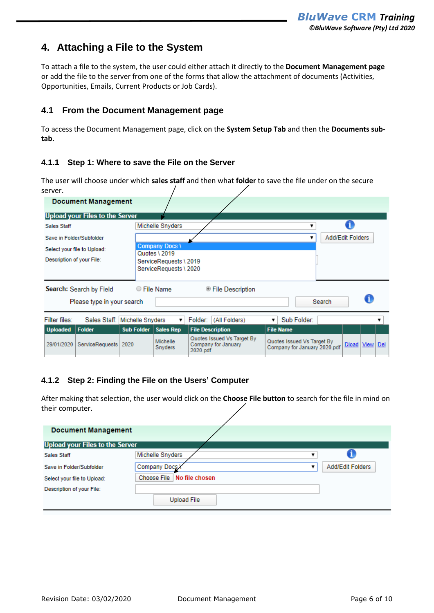## <span id="page-5-0"></span>**4. Attaching a File to the System**

To attach a file to the system, the user could either attach it directly to the **Document Management page** or add the file to the server from one of the forms that allow the attachment of documents (Activities, Opportunities, Emails, Current Products or Job Cards).

### <span id="page-5-1"></span>**4.1 From the Document Management page**

To access the Document Management page, click on the **System Setup Tab** and then the **Documents subtab.**

#### <span id="page-5-2"></span>**4.1.1 Step 1: Where to save the File on the Server**

The user will choose under which **sales staff** and then what **folder** to save the file under on the secure server.

|                                        | <b>Document Management</b>  |                  |                                        |                                                               |                                                            |                  |                    |   |  |  |
|----------------------------------------|-----------------------------|------------------|----------------------------------------|---------------------------------------------------------------|------------------------------------------------------------|------------------|--------------------|---|--|--|
| <b>Upload your Files to the Server</b> |                             |                  |                                        |                                                               |                                                            |                  |                    |   |  |  |
| Sales Staff                            |                             |                  | Michelle Snyders                       |                                                               |                                                            |                  |                    |   |  |  |
| Save in Folder/Subfolder               |                             |                  |                                        |                                                               | ▼                                                          | Add/Edit Folders |                    |   |  |  |
|                                        | Select your file to Upload: |                  | <b>Company Docs \</b><br>Quotes \ 2019 |                                                               |                                                            |                  |                    |   |  |  |
| Description of your File:              |                             |                  | ServiceRequests \2019                  |                                                               |                                                            |                  |                    |   |  |  |
|                                        |                             |                  | ServiceRequests \2020                  |                                                               |                                                            |                  |                    |   |  |  |
|                                        | Search: Search by Field     |                  | $\circ$ File Name                      | ● File Description                                            |                                                            |                  |                    |   |  |  |
| Please type in your search             |                             |                  |                                        |                                                               |                                                            | Search           |                    | a |  |  |
| Filter files:                          | Sales Staff:                | Michelle Snyders |                                        | Folder: (All Folders)                                         | Sub Folder:                                                |                  |                    |   |  |  |
| <b>Uploaded</b>                        | <b>Folder</b>               | Sub Folder       | <b>Sales Rep</b>                       | <b>File Description</b>                                       | <b>File Name</b>                                           |                  |                    |   |  |  |
| 29/01/2020                             | ServiceRequests             | 2020             | <b>Michelle</b><br><b>Snyders</b>      | Quotes Issued Vs Target By<br>Company for January<br>2020.pdf | Quotes Issued Vs Target By<br>Company for January 2020.pdf |                  | Dload   View   Del |   |  |  |

### <span id="page-5-3"></span>**4.1.2 Step 2: Finding the File on the Users' Computer**

After making that selection, the user would click on the **Choose File button** to search for the file in mind on their computer.

| <b>Document Management</b>      |                               |  |  |  |  |  |  |  |  |  |
|---------------------------------|-------------------------------|--|--|--|--|--|--|--|--|--|
| Upload your Files to the Server |                               |  |  |  |  |  |  |  |  |  |
| Sales Staff                     | Michelle Snyders              |  |  |  |  |  |  |  |  |  |
| Save in Folder/Subfolder        | Company Docs X                |  |  |  |  |  |  |  |  |  |
| Select your file to Upload:     | Choose File<br>No file chosen |  |  |  |  |  |  |  |  |  |
| Description of your File:       |                               |  |  |  |  |  |  |  |  |  |
|                                 | <b>Upload File</b>            |  |  |  |  |  |  |  |  |  |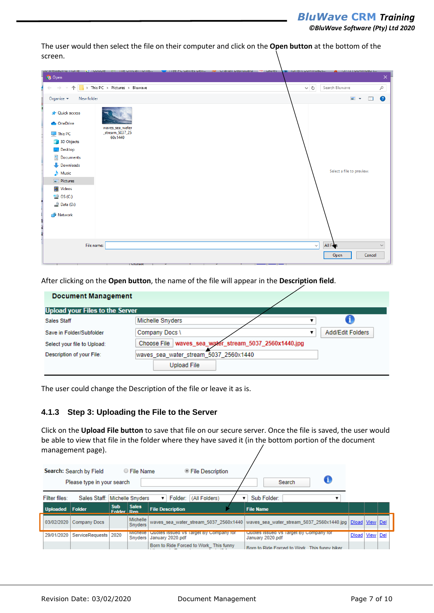*©BluWave Software (Pty) Ltd 2020*

The user would then select the file on their computer and click on the **Open button** at the bottom of the screen.

| <b>Open</b>                                                                                                                                                                                                      | THE OTHER FRIED<br><b>La docule</b><br><b>THEE FUNDAMES DEIL</b> |                                                           |
|------------------------------------------------------------------------------------------------------------------------------------------------------------------------------------------------------------------|------------------------------------------------------------------|-----------------------------------------------------------|
| $\rightarrow$<br>-                                                                                                                                                                                               | > This PC > Pictures > Bluwave                                   | $\sim$ 0<br>Search Bluwave<br>$\varphi$                   |
| New folder<br>Organize $\blacktriangledown$                                                                                                                                                                      |                                                                  | $\blacksquare$<br>◙<br>$\Box$<br>$\overline{\phantom{a}}$ |
| <b>A</b> Quick access<br><b>OneDrive</b><br>$\Box$ This PC<br>3D Objects<br>Desktop<br>莹<br>Documents<br>Downloads<br>$M$ usic<br>Pictures<br><b>W</b> Videos<br><sup>#</sup> OS (C:)<br>$\Rightarrow$ Data (D:) | waves_sea_water<br>_stream_5037_25<br>60x1440                    | Select a file to preview.                                 |
| Network                                                                                                                                                                                                          |                                                                  |                                                           |
| File name:                                                                                                                                                                                                       |                                                                  | All Files<br>$\checkmark$<br>$\checkmark$                 |

After clicking on the **Open button**, the name of the file will appear in the **Description field**.

| <b>Document Management</b>             |                                                          |  |
|----------------------------------------|----------------------------------------------------------|--|
| <b>Upload your Files to the Server</b> |                                                          |  |
| Sales Staff                            | Michelle Snyders                                         |  |
| Save in Folder/Subfolder               | Add/Edit Folders<br>Company Docs \<br>▼                  |  |
| Select your file to Upload:            | waves_sea_water_stream_5037_2560x1440.jpg<br>Choose File |  |
| Description of your File:              | waves sea water stream 5037 2560x1440                    |  |
|                                        | <b>Upload File</b>                                       |  |

The user could change the Description of the file or leave it as is.

#### <span id="page-6-0"></span>**4.1.3 Step 3: Uploading the File to the Server**

Click on the **Upload File button** to save that file on our secure server. Once the file is saved, the user would be able to view that file in the folder where they have saved it (in the bottom portion of the document management page).

|                 | Search: Search by Field<br>Please type in your search |                             | ○ File Name                  |    |                         | ● File Description                     |  |                  | Search                                 |                                                                                                      |       |          |  |
|-----------------|-------------------------------------------------------|-----------------------------|------------------------------|----|-------------------------|----------------------------------------|--|------------------|----------------------------------------|------------------------------------------------------------------------------------------------------|-------|----------|--|
| Filter files:   | Sales Staff: Michelle Snyders                         |                             |                              | ▼. | Folder:                 | (All Folders)                          |  | Sub Folder:      |                                        |                                                                                                      |       |          |  |
| Uploaded Folder |                                                       | <b>Sub</b><br><b>Folder</b> | <b>Sales</b><br><b>Den</b>   |    | <b>File Description</b> |                                        |  | <b>File Name</b> |                                        |                                                                                                      |       |          |  |
| 03/02/2020      | <b>Company Docs</b>                                   |                             | Michelle  <br><b>Snyders</b> |    |                         |                                        |  |                  |                                        | waves_sea_water_stream_5037_2560x1440 waves_sea_water_stream_5037_2560x1440.jpg   Dload   View   Del |       |          |  |
| 29/01/2020      | ServiceRequests                                       | 2020                        | <b>Michelle</b><br>Snyders   |    | January 2020.pdf        | Quotes issued Vs Target By Company for |  | January 2020.pdf | Quotes issued Vs Target By Company for |                                                                                                      | Dload | View Del |  |
|                 |                                                       |                             |                              |    |                         | Born to Ride Forced to Work This funny |  |                  |                                        | Born to Ride Forced to Work This funny biker                                                         |       |          |  |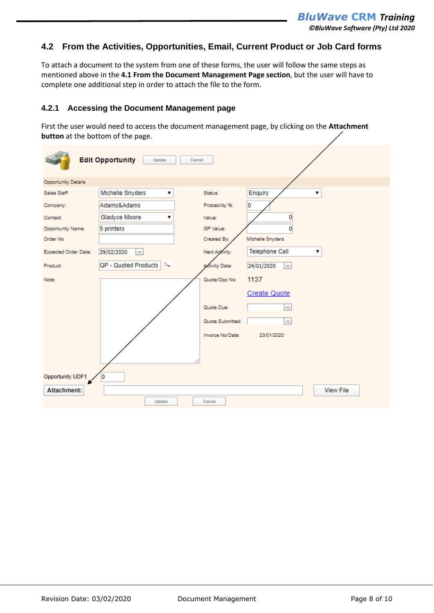#### <span id="page-7-0"></span>**4.2 From the Activities, Opportunities, Email, Current Product or Job Card forms**

To attach a document to the system from one of these forms, the user will follow the same steps as mentioned above in the **4.1 From the Document Management Page section**, but the user will have to complete one additional step in order to attach the file to the form.

#### <span id="page-7-1"></span>**4.2.1 Accessing the Document Management page**

First the user would need to access the document management page, by clicking on the **Attachment button** at the bottom of the page.

|                      | <b>Edit Opportunity</b><br>Update<br>Cancel |                       |                             |
|----------------------|---------------------------------------------|-----------------------|-----------------------------|
| Opportunity Details  |                                             |                       |                             |
| Sales Staff:         | Michelle Snyders<br>۷.                      | Status:               | Enquiry<br>▼                |
| Company:             | Adams&Adams                                 | Probability %:        | 0                           |
| Contact:             | Gladyce Moore<br>7                          | Value:                | $\overline{0}$              |
| Opportunity Name:    | 5 printers                                  | GP Value:             | 0                           |
| Order No             |                                             | Created By:           | Michelle Snyders            |
| Expected Order Date: | 29/02/2020<br>$\lor$                        | Next Activity:        | <b>Telephone Call</b><br>۷. |
| Product:             | QP - Quoted Products<br>$\infty$            | <b>Activity Date:</b> | 24/01/2020<br>$\checkmark$  |
| Note:                |                                             | Quote/Opp No:         | 1137                        |
|                      |                                             |                       | Create Quote                |
|                      |                                             | Quote Due:            | $\lor$                      |
|                      |                                             | Quote Submitted:      | $\checkmark$                |
|                      |                                             | Invoice No/Date:      | 23/01/2020                  |
|                      |                                             |                       |                             |
|                      |                                             |                       |                             |
| Opportunity UDF1     | 10                                          |                       |                             |
| <b>Attachment:</b>   |                                             |                       | <b>View File</b>            |
|                      | Update                                      | Cancel                |                             |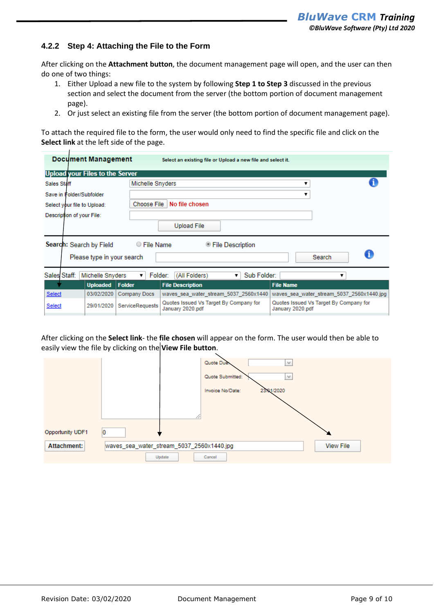#### <span id="page-8-0"></span>**4.2.2 Step 4: Attaching the File to the Form**

After clicking on the **Attachment button**, the document management page will open, and the user can then do one of two things:

- 1. Either Upload a new file to the system by following **Step 1 to Step 3** discussed in the previous section and select the document from the server (the bottom portion of document management page).
- 2. Or just select an existing file from the server (the bottom portion of document management page).

To attach the required file to the form, the user would only need to find the specific file and click on the **Select link** at the left side of the page.

|                                        | <b>Document Management</b><br>Select an existing file or Upload a new file and select it. |                        |                                                            |                  |                                           |  |  |  |  |  |
|----------------------------------------|-------------------------------------------------------------------------------------------|------------------------|------------------------------------------------------------|------------------|-------------------------------------------|--|--|--|--|--|
| <b>Upload your Files to the Server</b> |                                                                                           |                        |                                                            |                  |                                           |  |  |  |  |  |
| <b>Sales Staff</b>                     |                                                                                           |                        |                                                            |                  |                                           |  |  |  |  |  |
| Save in Folder/Subfolder               |                                                                                           |                        |                                                            |                  |                                           |  |  |  |  |  |
| Select your file to Upload:            |                                                                                           | Choose File            | No file chosen                                             |                  |                                           |  |  |  |  |  |
| Description of your File:              |                                                                                           |                        |                                                            |                  |                                           |  |  |  |  |  |
|                                        |                                                                                           |                        | <b>Upload File</b>                                         |                  |                                           |  |  |  |  |  |
| Search: Search by Field                |                                                                                           | ○ File Name            | . File Description®                                        |                  |                                           |  |  |  |  |  |
|                                        | Please type in your search                                                                |                        |                                                            |                  | Search                                    |  |  |  |  |  |
| Sales Staff:                           | Michelle Snyders                                                                          | Folder:<br>▼           | Sub Folder:<br>(All Folders)<br>▼                          |                  | ▼                                         |  |  |  |  |  |
|                                        | <b>Uploaded</b>                                                                           | Folder                 | <b>File Description</b>                                    | <b>File Name</b> |                                           |  |  |  |  |  |
| <b>Select</b>                          | 03/02/2020                                                                                | Company Docs           | waves sea water stream 5037 2560x1440                      |                  | waves_sea_water_stream_5037_2560x1440.jpg |  |  |  |  |  |
| Select                                 | 29/01/2020                                                                                | <b>ServiceRequests</b> | Quotes Issued Vs Target By Company for<br>January 2020.pdf | January 2020.pdf | Quotes Issued Vs Target By Company for    |  |  |  |  |  |

After clicking on the **Select link**- the **file chosen** will appear on the form. The user would then be able to easily view the file by clicking on the **View File button**.